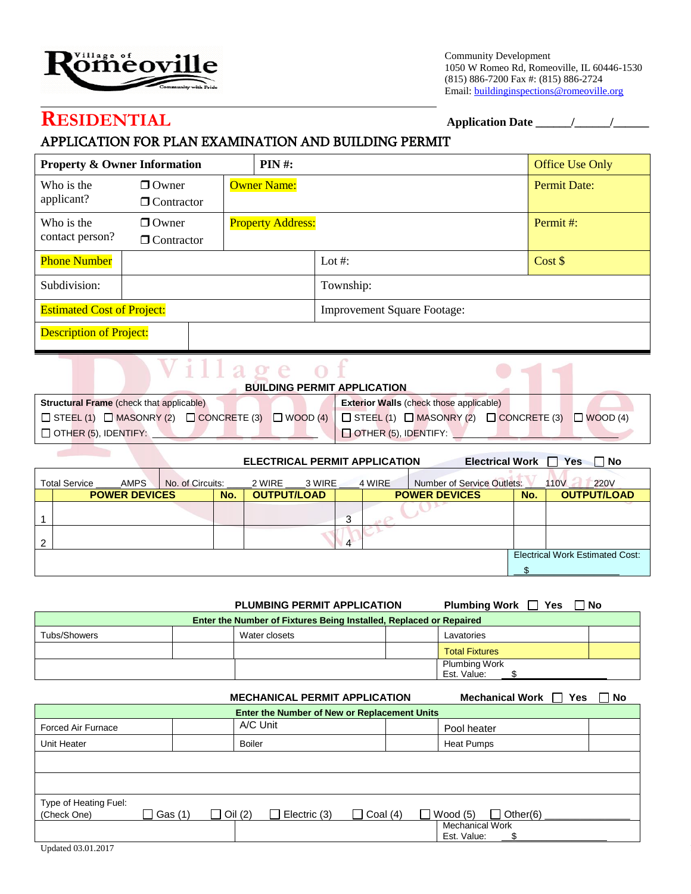

Community Development 1050 W Romeo Rd, Romeoville, IL 60446-1530 (815) 886-7200 Fax #: (815) 886-2724 Email: buildinginspections@romeoville.org

# **RESIDENTIAL Application Date \_\_\_\_\_\_/\_\_\_\_\_\_/\_\_\_\_\_\_**

### APPLICATION FOR PLAN EXAMINATION AND BUILDING PERMIT

| <b>Property &amp; Owner Information</b> |                   |  | <b>PIN#:</b>                       |           | <b>Office Use Only</b> |
|-----------------------------------------|-------------------|--|------------------------------------|-----------|------------------------|
| Who is the<br>applicant?                | $\Box$ Owner      |  | <b>Owner Name:</b>                 |           | <b>Permit Date:</b>    |
|                                         | $\Box$ Contractor |  |                                    |           |                        |
| Who is the                              | $\Box$ Owner      |  | <b>Property Address:</b>           |           | Permit#:               |
| contact person?                         | $\Box$ Contractor |  |                                    |           |                        |
| <b>Phone Number</b>                     |                   |  |                                    | Lot #:    | Cost \$                |
| Subdivision:                            |                   |  |                                    | Township: |                        |
| <b>Estimated Cost of Project:</b>       |                   |  | <b>Improvement Square Footage:</b> |           |                        |
| <b>Description of Project:</b>          |                   |  |                                    |           |                        |

| 'illage of                                                                                                                                      |                                                |
|-------------------------------------------------------------------------------------------------------------------------------------------------|------------------------------------------------|
| <b>BUILDING PERMIT APPLICATION</b>                                                                                                              |                                                |
| <b>Structural Frame</b> (check that applicable)                                                                                                 | <b>Exterior Walls (check those applicable)</b> |
| $\Box$ STEEL (1) $\Box$ MASONRY (2) $\Box$ CONCRETE (3) $\Box$ WOOD (4) $\Box$ STEEL (1) $\Box$ MASONRY (2) $\Box$ CONCRETE (3) $\Box$ WOOD (4) |                                                |
| $\Box$ OTHER (5), IDENTIFY: $\Box$                                                                                                              | OTHER (5), IDENTIFY:                           |

|                              |                  |     | <b>ELECTRICAL PERMIT APPLICATION</b> |   |        | Electrical Work $\Box$ Yes |     | Mo No                           |
|------------------------------|------------------|-----|--------------------------------------|---|--------|----------------------------|-----|---------------------------------|
| <b>Total Service</b><br>AMPS | No. of Circuits: |     | 2 WIRE 3 WIRE                        |   | 4 WIRE | Number of Service Outlets: |     | <b>220V</b><br>110V             |
| <b>POWER DEVICES</b>         |                  | No. | <b>OUTPUT/LOAD</b>                   |   |        | <b>POWER DEVICES</b>       | No. | <b>OUTPUT/LOAD</b>              |
|                              |                  |     |                                      | 3 |        |                            |     |                                 |
|                              |                  |     |                                      | 4 |        |                            |     |                                 |
|                              |                  |     |                                      |   |        |                            |     | Electrical Work Estimated Cost: |
|                              |                  |     |                                      |   |        |                            |     |                                 |

|                                                                           |               |  | <b>Plumbing Work</b><br>Yes        | ∩ No        |  |  |  |
|---------------------------------------------------------------------------|---------------|--|------------------------------------|-------------|--|--|--|
| <b>Enter the Number of Fixtures Being Installed, Replaced or Repaired</b> |               |  |                                    |             |  |  |  |
|                                                                           | Water closets |  | Lavatories                         |             |  |  |  |
|                                                                           |               |  | <b>Total Fixtures</b>              |             |  |  |  |
|                                                                           |               |  | <b>Plumbing Work</b>               |             |  |  |  |
|                                                                           |               |  | <b>PLUMBING PERMIT APPLICATION</b> | Est. Value: |  |  |  |

|                                      | Mechanical Work 7 Yes                        | ∩ No                           |            |                                       |  |  |  |  |
|--------------------------------------|----------------------------------------------|--------------------------------|------------|---------------------------------------|--|--|--|--|
|                                      | Enter the Number of New or Replacement Units |                                |            |                                       |  |  |  |  |
| Forced Air Furnace                   |                                              | A/C Unit                       |            | Pool heater                           |  |  |  |  |
| Unit Heater                          |                                              | <b>Boiler</b>                  |            | Heat Pumps                            |  |  |  |  |
|                                      |                                              |                                |            |                                       |  |  |  |  |
|                                      |                                              |                                |            |                                       |  |  |  |  |
| Type of Heating Fuel:<br>(Check One) | □ Gas (1)                                    | Electric (3)<br>$\Box$ Oil (2) | Coal $(4)$ | $\Box$ Other(6)<br>$\Box$ Wood (5)    |  |  |  |  |
|                                      |                                              |                                |            | <b>Mechanical Work</b><br>Est. Value: |  |  |  |  |
| Updated 03.01.2017                   |                                              |                                |            |                                       |  |  |  |  |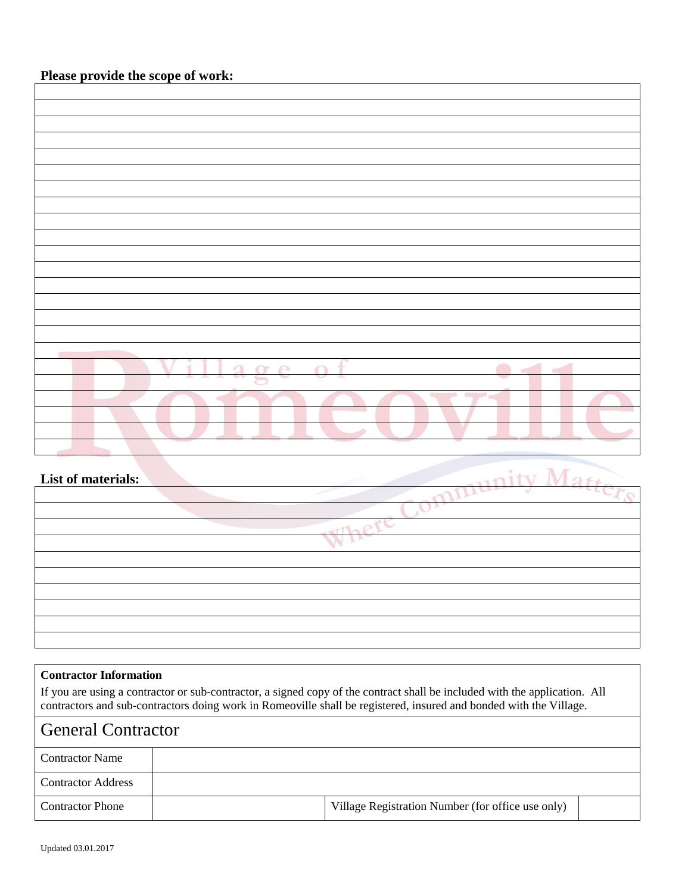| Village of |
|------------|
|            |
|            |
|            |
|            |
|            |
|            |

| List of materials: |  |
|--------------------|--|
|                    |  |
|                    |  |
|                    |  |
|                    |  |
|                    |  |
|                    |  |
|                    |  |
|                    |  |
|                    |  |

#### **Contractor Information**

If you are using a contractor or sub-contractor, a signed copy of the contract shall be included with the application. All contractors and sub-contractors doing work in Romeoville shall be registered, insured and bonded with the Village.

## General Contractor

| <b>Contractor Name</b>    |                                                   |  |
|---------------------------|---------------------------------------------------|--|
| <b>Contractor Address</b> |                                                   |  |
| <b>Contractor Phone</b>   | Village Registration Number (for office use only) |  |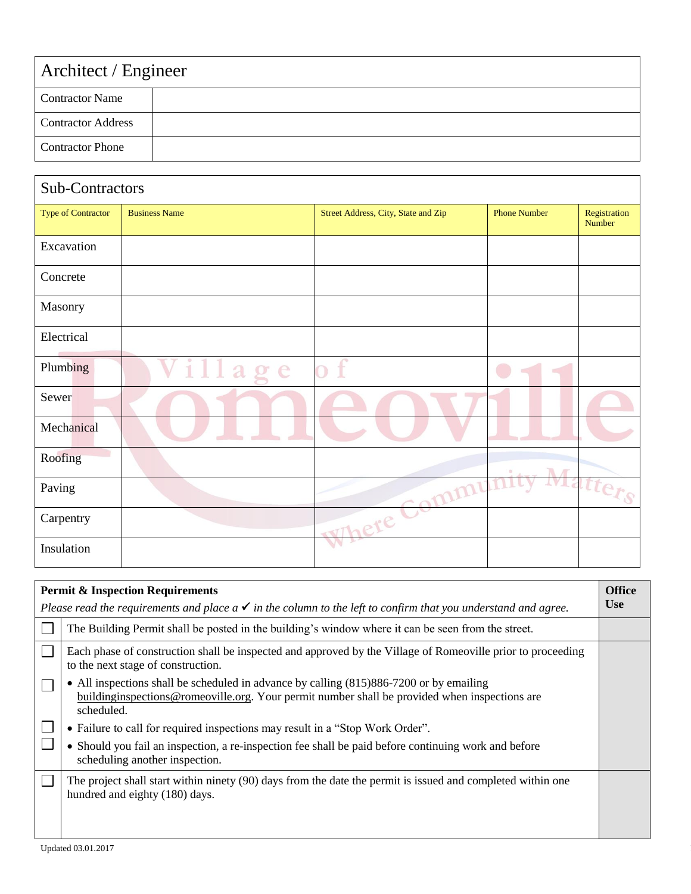| Architect / Engineer      |  |  |  |  |
|---------------------------|--|--|--|--|
| <b>Contractor Name</b>    |  |  |  |  |
| <b>Contractor Address</b> |  |  |  |  |
| <b>Contractor Phone</b>   |  |  |  |  |

| Sub-Contractors    |                      |                                     |                     |                        |  |  |  |
|--------------------|----------------------|-------------------------------------|---------------------|------------------------|--|--|--|
| Type of Contractor | <b>Business Name</b> | Street Address, City, State and Zip | <b>Phone Number</b> | Registration<br>Number |  |  |  |
| Excavation         |                      |                                     |                     |                        |  |  |  |
| Concrete           |                      |                                     |                     |                        |  |  |  |
| Masonry            |                      |                                     |                     |                        |  |  |  |
| Electrical         |                      |                                     |                     |                        |  |  |  |
| Plumbing           | illa<br>e            | f                                   |                     |                        |  |  |  |
| Sewer              |                      |                                     |                     |                        |  |  |  |
| Mechanical         |                      |                                     |                     |                        |  |  |  |
| Roofing            |                      |                                     | T.                  |                        |  |  |  |
| Paving             |                      | sommu                               |                     | Matter <sub>s</sub>    |  |  |  |
| Carpentry          |                      | where Co                            |                     |                        |  |  |  |
| Insulation         |                      |                                     |                     |                        |  |  |  |

| <b>Permit &amp; Inspection Requirements</b> |                                                                                                                                                                                                        |            |
|---------------------------------------------|--------------------------------------------------------------------------------------------------------------------------------------------------------------------------------------------------------|------------|
|                                             | Please read the requirements and place $a \checkmark$ in the column to the left to confirm that you understand and agree.                                                                              | <b>Use</b> |
|                                             | The Building Permit shall be posted in the building's window where it can be seen from the street.                                                                                                     |            |
|                                             | Each phase of construction shall be inspected and approved by the Village of Romeoville prior to proceeding<br>to the next stage of construction.                                                      |            |
|                                             | • All inspections shall be scheduled in advance by calling (815)886-7200 or by emailing<br>buildinginspections@romeoville.org. Your permit number shall be provided when inspections are<br>scheduled. |            |
|                                             | • Failure to call for required inspections may result in a "Stop Work Order".                                                                                                                          |            |
|                                             | • Should you fail an inspection, a re-inspection fee shall be paid before continuing work and before<br>scheduling another inspection.                                                                 |            |
|                                             | The project shall start within ninety (90) days from the date the permit is issued and completed within one<br>hundred and eighty (180) days.                                                          |            |